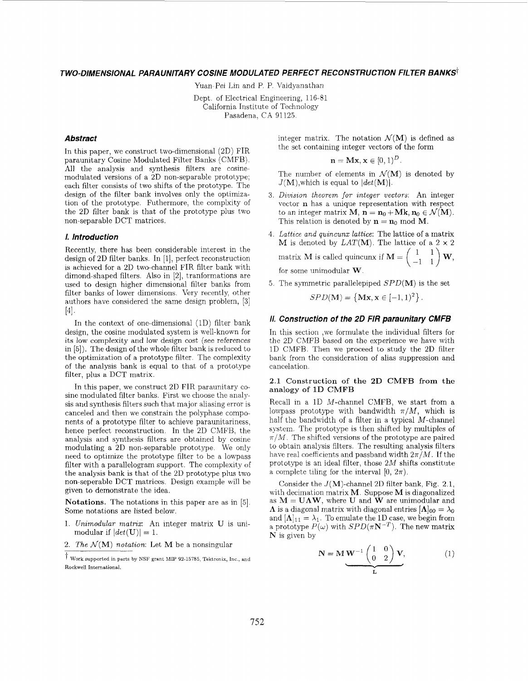# *TWO-DIMENSIONAL PARAUNITARY COSINE MODULATED PERFECT RECONSTRUCTION FILTER BANKST*

Yuan-Pei Lin and P. P. Vaidyanathan

Dept. of Electrical Engineering, 116-81 California Institute of Technology Pasadena. CA 91125

## *Abstract*

In this paper, we construct two-dimensional (2D) FIR paraunitary Cosine Modulated Filter Banks (CMFB). All the analysis and synthesis filters are cosinemodulated versions of a 2D non-separable prototype; each filter consists of two shifts of the prototype. The design of the filter bank involves only the optimization of the prototype. Futhermore, the complxity of the 2D filter bank is that of the prototype plus two non-separable DCT matrices.

### *1. Introduction*

Recently, there has been considerable interest in the design of 2D filter banks. In [I], perfect reconstruction is achieved for a 2D two-channel FIR filter bank with dimond-shaped filters. Also in [2], tranformations are used to design higher dimensional filter banks from filter banks of lower dimensions. Very recently, other authors have considered the same design problem, [3]  $[4].$ 

In the context of one-dimensional (1D) filter bank design, the cosine modulated system is well-known for its low complexity and low design cost (see references in [SI). The design of the whole filter bank is reduced to the optimization of a prototype filter. The complexity of the analysis bank is equal to that of a prototype filter, plus a DCT matrix.

In this paper, we construct 2D FIR paraunitary *co*sine modulated filter banks. First we choose the analysis and synthesis filters such that major aliasing error is canceled and then we constrain the polyphase components of a prototype filter to achieve paraunitariness, hence perfect reconstruction. In the 2D CMFB, the analysis and synthesis filters are obtained by cosine modulating a 2D non-separable prototype. We only need to optimize the prototype filter to be a lowpass filter with a parallelogram support. The complexity of the analysis bank **is** that of the 2D prototype plus two non-seperable DCT matrices. Design example will be given to demonstrate the idea.

Notations. The notations in this paper are as in [5]. Some notations are listed below.

- 1. Unimodular *matrix:* An integer matrix *U* is unimodular if  $|det(\mathbf{U})|=1$ .
- 2. *The*  $\mathcal{N}(\mathbf{M})$  *notation*: Let **M** be a nonsingular

integer matrix. The notation  $\mathcal{N}(\mathbf{M})$  is defined as the set containing integer vectors of the form

$$
\mathbf{n} = \mathbf{M}\mathbf{x}, \mathbf{x} \in [0,1)^D.
$$

The number of elements in  $\mathcal{N}(\mathbf{M})$  is denoted by  $J(M)$ , which is equal to  $|det(M)|$ .

- 3. *Diviszon theorem for integer vectors:* An integer vector n has a unique representation with respect to an integer matrix  $M$ ,  $n = n_0 + Mk$ ,  $n_0 \in \mathcal{N}(M)$ . This relation is denoted by  $n = n_0 \text{ mod } M$ .
- **4.** *Lattice and quincunx lattice:* The lattice of a matrix M is denoted by  $LAT(M)$ . The lattice of a  $2 \times 2$ matrix **M** is called quincunx if  $\mathbf{M} = \begin{pmatrix} 1 & 1 \\ -1 & 1 \end{pmatrix} \mathbf{W}$ , for some unimodular **W.**
- 5. The symmetric parallelepiped *SPD(M)* is the set

$$
SPD(\mathbf{M}) = \{ \mathbf{Mx}, \mathbf{x} \in [-1, 1)^2 \}.
$$

# *11. Construction of the 20 FIR paraunitary CMFB*

In this section ,we formulate the individual filters for the 2D CMFB based on the experience we have with 1D CMFB. Then we proceed to study the 2D filter bank from the consideration of alias suppression and cancelation.

### **2.1** Construction of the **2D** CMFB from the analogy of 1D CMFB

Recall in a 1D  $M$ -channel CMFB, we start from a lowpass prototype with bandwidth  $\pi/M$ , which is half the bandwidth of a filter in a typical  $M$ -channel system. The prototype is then shifted by multiples of  $\pi/M$ . The shifted versions of the prototype are paired to obtain analysis filters. The resulting analysis filters have real coefficients and passband width  $2\pi/M$ . If the prototype is an ideal filter, those *2M* shifts constitute a complete tiling for the interval  $[0, 2\pi)$ . annelCMFB, we start from a<br>ith bandwidth  $\pi/M$ , which is<br>'a filter in a typical M-channel<br>e is then shifted by multiples of<br>sions of the prototype are paired<br>rs. The resulting analysis filters<br>nd passband width  $2\pi/M$ . I

Consider the  $J(M)$ -channel 2D filter bank, Fig. 2.1, with decimation matrix  $M$ . Suppose  $M$  is diagonalized as  $M = U\Lambda W$ , where U and W are unimodular and  $\Lambda$  is a diagonal matrix with diagonal entries  $[\Lambda]_{00} = \lambda_0$ and  $[A]_{11} = \lambda_1$ . To emulate the 1D case, we begin from a prototype  $P(\omega)$  with  $SPD(\pi N^{-T})$ . The new matrix N is given by

$$
\mathbf{N} = \mathbf{M} \mathbf{W}^{-1} \begin{pmatrix} 1 & 0 \\ 0 & 2 \end{pmatrix} \mathbf{V}, \tag{1}
$$

<sup>&</sup>lt;sup>t</sup> Work supported in parts by NSF grant MIP 92-15785, Tektronix, Inc., and Rockwell International.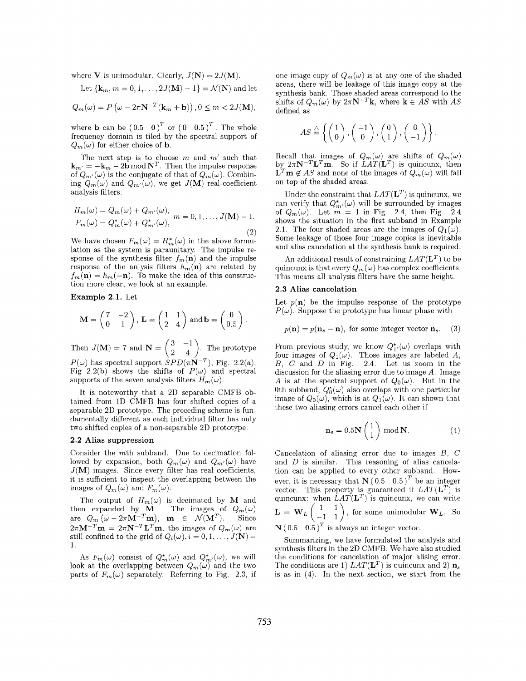<span id="page-1-0"></span>where **V** is unimodular. Clearly,  $J(\mathbf{N}) = 2J(\mathbf{M})$ .

Let 
$$
\{k_m, m = 0, 1, ..., 2J(M) - 1\} = \mathcal{N}(N)
$$
 and let

$$
Q_m(\omega) = P\left(\omega - 2\pi \mathbf{N}^{-T}(\mathbf{k}_m + \mathbf{b})\right), 0 \le m < 2J(\mathbf{M}),
$$

where **b** can be  $(0.5 \ 0)^T$  or  $(0 \ 0.5)^T$ . The whole frequency domain is tiled by the spectral support of  $Q_m(\omega)$  for either choice of **b**.

The next step is to choose *m* and *m'* such that  $\mathbf{k}_{m'} = -\mathbf{k}_m - 2\mathbf{b} \mod \mathbf{N}^T$ . Then the impulse response of  $Q_{m'}(\omega)$  is the conjugate of that of  $Q_m(\omega)$ . Combining  $Q_m(\omega)$  and  $Q_{m'}(\omega)$ , we get  $J(\mathbf{M})$  real-coefficient analysis filters.

$$
H_m(\omega) = Q_m(\omega) + Q_{m'}(\omega),
$$
  
\n
$$
F_m(\omega) = Q_m^*(\omega) + Q_{m'}^*(\omega),
$$
  
\n
$$
m = 0, 1, ..., J(\mathbf{M}) - 1.
$$

We have chosen  $F_m(\omega) = H_m^*(\omega)$  in the above formulation as the system is paraunitary. The impulse response of the synthesis filter  $f_m(\mathbf{n})$  and the impulse response of the anlysis filters  $h_m(n)$  are related by  $f_m(\mathbf{n}) = h_m(-\mathbf{n})$ . To make the idea of this construction more clear, we look at an example.

Example 2.1. Let

$$
\mathbf{M} = \begin{pmatrix} 7 & -2 \\ 0 & 1 \end{pmatrix}, \mathbf{L} = \begin{pmatrix} 1 & 1 \\ 2 & 4 \end{pmatrix} \text{ and } \mathbf{b} = \begin{pmatrix} 0 \\ 0.5 \end{pmatrix}.
$$

Then  $J(\mathbf{M}) = 7$  and  $\mathbf{N} = \begin{pmatrix} 3 & -1 \\ 2 & 4 \end{pmatrix}$ . The prototype  $P(\omega)$  has spectral support  $SPD(\pi N^{-T})$ , Fig. 2.2(a).

Fig 2.2(b) shows the shifts of  $P(\omega)$  and spectral supports of the seven analysis filters  $H_m(\omega)$ .

It is noteworthy that a 2D separable CMFB obtained from 1D CMFB has four shifted copies of a separable 2D prototype. The preceding scheme is fumdamentally different as each individual filter has only two shifted copies of a non-separable 2D prototype.

# 2.2 Alias suppression

Consider the  $m$ th subband. Due to decimation followed by expansion, both  $Q_m(\omega)$  and  $Q_{m'}(\omega)$  have  $J(M)$  images. Since every filter has real coefficients, it is sufficient to inspect the overlapping between the images of  $Q_m(\omega)$  and  $F_m(\omega)$ .

The output of  $H_m(\omega)$  is decimated by M and then expanded by **M**. The images of  $Q_m(\omega)$ <br>are  $Q_m(\omega - 2\pi \mathbf{M}^{-T}\mathbf{m})$ ,  $\mathbf{m} \in \mathcal{N}(\mathbf{M}^T)$ . Since  $2\pi\mathbf{M}^{-T}\mathbf{m} = 2\pi\mathbf{N}^{-T}\mathbf{L}^T\mathbf{m}$ , the images of  $Q_m(\omega)$  are still confined to the grid of  $Q_i(\omega), i = 0, 1, \ldots, J(\mathbf{N})$  -1.

As  $F_m(\omega)$  consist of  $Q_m^*(\omega)$  and  $Q_{m'}^*(\omega)$ , we will look at the overlapping between  $Q_m(\omega)$  and the two parts of  $F_m(\omega)$  separately. Referring to [Fig. 2.3,](#page-3-0) if

one image copy of  $Q_m(\omega)$  is at any one of the shaded areas, there will be leakage of this image copy at the synthesis bank. Those shaded areas correspond to the shifts of  $Q_m(\omega)$  by  $2\pi N^{-T}k$ , where  $k \in AS$  with AS defined as

$$
AS\stackrel{\triangle}{=}\left\{\left(\begin{array}{c}1\\0\end{array}\right),\left(\begin{array}{c}-1\\0\end{array}\right),\left(\begin{array}{c}0\\1\end{array}\right),\left(\begin{array}{c}0\\-1\end{array}\right)\right\}.
$$

Recall that images of  $Q_m(\omega)$  are shifts of  $Q_m(\omega)$ by  $2\pi N^{-T}L^{T}m$ . So if  $LAT(L^{T})$  is quincunx, then  $\mathbf{L}^T \mathbf{m} \notin AS$  and none of the images of  $Q_m(\omega)$  will fall on top of the shaded areas.

Under the constraint that  $LAT(\mathbf{L}^T)$  is quincunx, we can verify that  $Q_{m'}^*(\omega)$  will be surrounded by images of  $Q_m(\omega)$ . Let  $m = 1$  in [Fig. 2.4,](#page-3-0) then [Fig. 2.4](#page-3-0) shows the situation in the first subband in Example 2.1. The four shaded areas are the images of  $Q_1(\omega)$ . Some leakage of those four image copies is inevitable and alias cancelation at the synthesis bank is required.

An additional result of constraining  $LAT(\mathbf{L}^T)$  to be quincunx is that every  $Q_m(\omega)$  has complex coefficients. This means all analysis filters have the same height.

### **2.3** Alias cancelation

Let  $p(n)$  be the impulse response of the prototype  $P(\omega)$ . Suppose the prototype has linear phase with

$$
p(\mathbf{n}) = p(\mathbf{n}_s - \mathbf{n}),
$$
 for some integer vector  $\mathbf{n}_s$ . (3)

From previous study, we know  $Q_{1'}^*(\omega)$  overlaps with four images of  $Q_1(\omega)$ . Those images are labeled A, *B, C* and *D* in [Fig. 2.4.](#page-3-0) Let us zoom in the discussion for the aliasing error due to image *A.* Image A is at the spectral support of  $Q_0(\omega)$ . But in the 0th subband,  $Q_0^*(\omega)$  also overlaps with one particular image of  $Q_0(\omega)$ , which is at  $Q_1(\omega)$ . It can shown that these two aliasing errors cancel each other if

$$
\mathbf{n}_s = 0.5\mathbf{N} \begin{pmatrix} 1 \\ 1 \end{pmatrix} \bmod \mathbf{N}.\tag{4}
$$

Cancelation of aliasing error due to images *B,* C and *D* is similar. This reasoning of alias cancelation can be applied to every other subband. However, it is necessary that  $N(0.5 \ 0.5)^T$  be an integer vector. This property is guaranteed if  $LAT(\mathbf{L}^T)$  is quincunx: when  $LAT(\mathbf{L}^T)$  is quincunx, we can write  $\mathbf{L} = \mathbf{W}_L \begin{pmatrix} 1 & 1 \\ -1 & 1 \end{pmatrix}$ , for some unimodular  $\mathbf{W}_L$ . So  $\mathbf{N}$  (0.5 0.5)<sup>T</sup> is always an integer vector.

Summarizing, we have formulated the analysis and synthesis filters in the 2D CMFB. We have also studied the conditions for cancelation of major alising error. The conditions are 1)  $LAT(\mathbf{L}^T)$  is quincunx and 2)  $\mathbf{n}_s$ is as in (4). In the next section, we start from the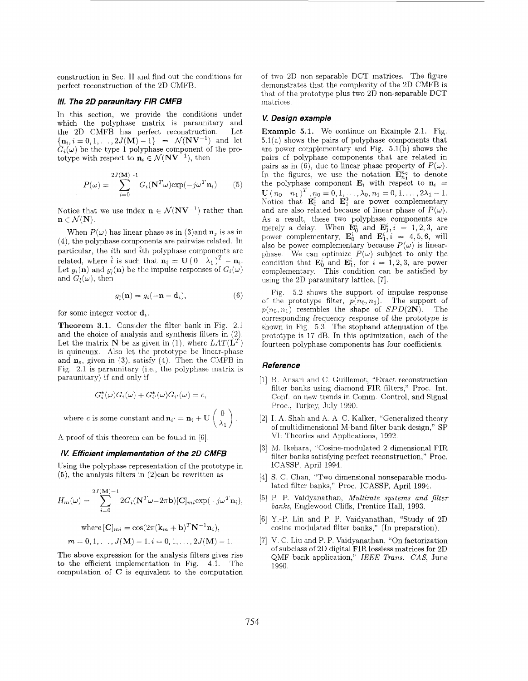construction in Sec. I1 and find out the conditions for perfect reconstruction of the 2D CMFB.

### *III. The 20 paramitaw FIR CMFB*

In this section, we provide the conditions under which the polyphase matrix is paraunitary and<br>the 2D CMFB has perfect reconstruction Let the 2D CMFB has perfect reconstruction.  ${n_i, i = 0, 1, ..., 2J(M) - 1} = \mathcal{N}(NV^{-1})$  and let  $G_i(\omega)$  be the type 1 polyphase component of the prototype with respect to  $\mathbf{n}_i \in \mathcal{N}(\mathbf{N}\mathbf{V}^{-1})$ , then

$$
P(\omega) = \sum_{i=0}^{2J(\mathbf{M})-1} G_i(\mathbf{N}^T \omega) \exp(-j\omega^T \mathbf{n}_i)
$$
 (5)

Notice that we use index  $\mathbf{n} \in \mathcal{N}(\mathbf{N}\mathbf{V}^{-1})$  rather than  $n \in \mathcal{N}(N)$ .

When  $P(\omega)$  has linear phase as in (3)and  $\mathbf{n}_s$  is as in **(4),** the polyphase components are pairwise related. In particular, the *i*th and  $\hat{i}$ th polyphase components are particular, the ten and ten polyphase components are<br>related, where  $\hat{i}$  is such that  $\mathbf{n}_{\hat{i}} = \mathbf{U} (0 - \lambda_1)^T - \mathbf{n}_{i}$ . Let  $g_i(\mathbf{n})$  and  $g_i(\mathbf{n})$  be the impulse responses of  $G_i(\omega)$ and  $G_i(\omega)$ , then

$$
g_i(\mathbf{n}) = g_i(-\mathbf{n} - \mathbf{d}_i), \qquad (6)
$$

for some integer vector  $\mathbf{d}_i$ .

**Theorem 3.1.** Consider the filter bank in [Fig. 2.1](#page-3-0) and the choice of analysis and synthesis filters in  $(2)$ . is quincunx. Also let the prototype be linear-phase and  $\mathbf{n}_s$ , given in (3), satisfy (4). Then the CMFB in [Fig.](#page-3-0) [2.1](#page-3-0) is paraunitary (i.e., the polyphase matrix is paraunitary) if and only if Let the matrix N be as given in (1), where  $LAT(\mathbf{L}^T)$ 

$$
G_i^*(\omega)G_i(\omega) + G_{i'}^*(\omega)G_{i'}(\omega) = c,
$$

where c is some constant and  $\mathbf{n}_{i'} = \mathbf{n}_i + \mathbf{U} \begin{pmatrix} 0 \\ \lambda_1 \end{pmatrix}$ .

A proof of this theorem can be found in [6]

## *fK Efficient implementation of the 20 CMFB*

Using the polyphase representation of the prototype in  $(5)$ , the analysis filters in  $(2)$ can be rewritten as

$$
H_m(\omega) = \sum_{i=0}^{2J(\mathbf{M})-1} 2G_i(\mathbf{N}^T\omega - 2\pi\mathbf{b})[\mathbf{C}]_{mi} \exp(-j\omega^T \mathbf{n}_i),
$$

where 
$$
[C]_{mi} = \cos(2\pi(k_m + b)^T N^{-1} n_i),
$$
  
\n $m = 0, 1, ..., J(M) - 1, i = 0, 1, ..., 2J(M) - 1.$ 

The above expression for the analysis filters gives rise to the efficient implementation in Fig. 4.1. The computation of *C* is equivalent to the computation of two 2D non-separable DCT matrices. The figure demonstrates that the complexity of the 2D CMFB is that of the prototype plus two 2D non-separable DCT matrices.

# **K** *Design example*

Example 5.1. We continue on [Example 2.1.](#page-1-0) Fig.  $5.1(a)$  shows the pairs of polyphase components that are power complementary and Fig. 5.l(b) shows the pairs of polyphase components that are related in pairs as in  $(6)$ , due to linear phase property of  $P(\omega)$ . In the figures, we use the notation  $\mathbf{E}_{n_1}^{n_0}$  to denote the polyphase component  $\mathbf{E}_i$  with respect to  $\mathbf{n}_i =$ Notice that  $\mathbf{E}_0^0$  and  $\mathbf{E}_1^0$  are power complementary and are also related because of linear phase of  $P(\omega)$ . As a result, these two polyphase components are merely a delay. When  $\mathbf{E}_0^i$  and  $\mathbf{E}_1^i$ ,  $i = 1, 2, 3$ , are power complementary,  $\mathbf{E}_0^i$  and  $\mathbf{E}_1^i$ ,  $i = 4, 5, 6$ , will also be power complementary because  $P(\omega)$  is linearphase. We can optimize  $P(\omega)$  subject to only the condition that  $\mathbf{E}_0^i$  and  $\mathbf{E}_1^i$ , for  $i = 1, 2, 3$ , are power complementary. This condition can be satisfied by using the 2D paraunitary lattice, [7].  $\mathbf{U}(n_0 \mid n_1)^T, n_0 = 0, 1, \ldots, \lambda_0, n_1 = 0, 1, \ldots, 2\lambda_1 - 1.$ 

5.2 shows the support of impulse response Fig. of the prototype filter,  $p(n_0, n_1)$ . The support of  $p(n_0, n_1)$  resembles the shape of  $SPD(2N)$ . The corresponding frequency response of the prototype is shown in [Fig. 5.3](#page-3-0). The stopband attenuation of the prototype is 17 dB. In this optimization, each of the fourteen polyphase components has four coefficients.

# *Reference*

- [1] R. Ansari and C. Guillemot, "Exact reconstruction filter banks using diamond FIR filters," Proc. Int. Conf. on new trends in Comm. Control, and Signal Proc., Turkey, July 1990.
- [2] I. A. Shah and A. A. C. Kalker, "Generalized theory of multidimensional M-band filter bank design," SP W: Theories and Applications, 1992.
- M. Ikehara, "Cosine-modulated 2 dimensional FIR filter banks satisfying perfect reconstruction," Proc. ICASSP, April 1994.
- [4] S. C. Chan, "Two dimensional nonseparable modulated filter banks," Proc. ICASSP, April 1994.
- P. P. Vaidyanathan, *Multirate systems and filter banks,* Englewood Cliffs, Prentice Hall, 1993.
- Y.-P. Lin and P. P. Vaidyanathan, "Study of 2D cosine modulated filter banks," (In preparation).
- V. C. Liu and P. P. Vaidyanathan, "On factorization of subclass of 2D digital FIR lossless matrices for 2D QMF bank application," *IEEE Trans. CAS,* June 1990.